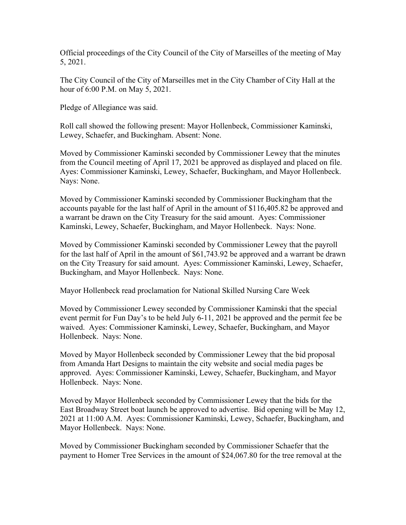Official proceedings of the City Council of the City of Marseilles of the meeting of May 5, 2021.

The City Council of the City of Marseilles met in the City Chamber of City Hall at the hour of 6:00 P.M. on May 5, 2021.

Pledge of Allegiance was said.

Roll call showed the following present: Mayor Hollenbeck, Commissioner Kaminski, Lewey, Schaefer, and Buckingham. Absent: None.

Moved by Commissioner Kaminski seconded by Commissioner Lewey that the minutes from the Council meeting of April 17, 2021 be approved as displayed and placed on file. Ayes: Commissioner Kaminski, Lewey, Schaefer, Buckingham, and Mayor Hollenbeck. Nays: None.

Moved by Commissioner Kaminski seconded by Commissioner Buckingham that the accounts payable for the last half of April in the amount of \$116,405.82 be approved and a warrant be drawn on the City Treasury for the said amount. Ayes: Commissioner Kaminski, Lewey, Schaefer, Buckingham, and Mayor Hollenbeck. Nays: None.

Moved by Commissioner Kaminski seconded by Commissioner Lewey that the payroll for the last half of April in the amount of \$61,743.92 be approved and a warrant be drawn on the City Treasury for said amount. Ayes: Commissioner Kaminski, Lewey, Schaefer, Buckingham, and Mayor Hollenbeck. Nays: None.

Mayor Hollenbeck read proclamation for National Skilled Nursing Care Week

Moved by Commissioner Lewey seconded by Commissioner Kaminski that the special event permit for Fun Day's to be held July 6-11, 2021 be approved and the permit fee be waived. Ayes: Commissioner Kaminski, Lewey, Schaefer, Buckingham, and Mayor Hollenbeck. Nays: None.

Moved by Mayor Hollenbeck seconded by Commissioner Lewey that the bid proposal from Amanda Hart Designs to maintain the city website and social media pages be approved. Ayes: Commissioner Kaminski, Lewey, Schaefer, Buckingham, and Mayor Hollenbeck. Nays: None.

Moved by Mayor Hollenbeck seconded by Commissioner Lewey that the bids for the East Broadway Street boat launch be approved to advertise. Bid opening will be May 12, 2021 at 11:00 A.M. Ayes: Commissioner Kaminski, Lewey, Schaefer, Buckingham, and Mayor Hollenbeck. Nays: None.

Moved by Commissioner Buckingham seconded by Commissioner Schaefer that the payment to Homer Tree Services in the amount of \$24,067.80 for the tree removal at the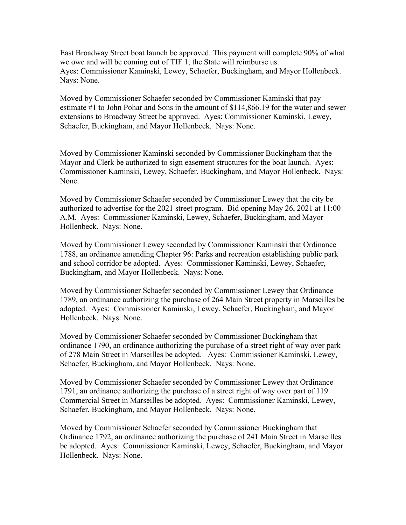East Broadway Street boat launch be approved. This payment will complete 90% of what we owe and will be coming out of TIF 1, the State will reimburse us. Ayes: Commissioner Kaminski, Lewey, Schaefer, Buckingham, and Mayor Hollenbeck. Nays: None.

Moved by Commissioner Schaefer seconded by Commissioner Kaminski that pay estimate #1 to John Pohar and Sons in the amount of \$114,866.19 for the water and sewer extensions to Broadway Street be approved. Ayes: Commissioner Kaminski, Lewey, Schaefer, Buckingham, and Mayor Hollenbeck. Nays: None.

Moved by Commissioner Kaminski seconded by Commissioner Buckingham that the Mayor and Clerk be authorized to sign easement structures for the boat launch. Ayes: Commissioner Kaminski, Lewey, Schaefer, Buckingham, and Mayor Hollenbeck. Nays: None.

Moved by Commissioner Schaefer seconded by Commissioner Lewey that the city be authorized to advertise for the 2021 street program. Bid opening May 26, 2021 at 11:00 A.M. Ayes: Commissioner Kaminski, Lewey, Schaefer, Buckingham, and Mayor Hollenbeck. Nays: None.

Moved by Commissioner Lewey seconded by Commissioner Kaminski that Ordinance 1788, an ordinance amending Chapter 96: Parks and recreation establishing public park and school corridor be adopted. Ayes: Commissioner Kaminski, Lewey, Schaefer, Buckingham, and Mayor Hollenbeck. Nays: None.

Moved by Commissioner Schaefer seconded by Commissioner Lewey that Ordinance 1789, an ordinance authorizing the purchase of 264 Main Street property in Marseilles be adopted. Ayes: Commissioner Kaminski, Lewey, Schaefer, Buckingham, and Mayor Hollenbeck. Nays: None.

Moved by Commissioner Schaefer seconded by Commissioner Buckingham that ordinance 1790, an ordinance authorizing the purchase of a street right of way over park of 278 Main Street in Marseilles be adopted. Ayes: Commissioner Kaminski, Lewey, Schaefer, Buckingham, and Mayor Hollenbeck. Nays: None.

Moved by Commissioner Schaefer seconded by Commissioner Lewey that Ordinance 1791, an ordinance authorizing the purchase of a street right of way over part of 119 Commercial Street in Marseilles be adopted. Ayes: Commissioner Kaminski, Lewey, Schaefer, Buckingham, and Mayor Hollenbeck. Nays: None.

Moved by Commissioner Schaefer seconded by Commissioner Buckingham that Ordinance 1792, an ordinance authorizing the purchase of 241 Main Street in Marseilles be adopted. Ayes: Commissioner Kaminski, Lewey, Schaefer, Buckingham, and Mayor Hollenbeck. Nays: None.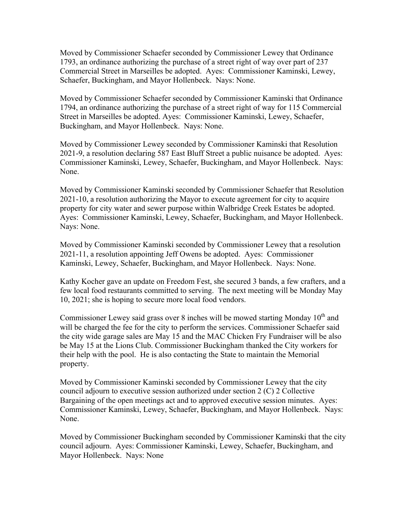Moved by Commissioner Schaefer seconded by Commissioner Lewey that Ordinance 1793, an ordinance authorizing the purchase of a street right of way over part of 237 Commercial Street in Marseilles be adopted. Ayes: Commissioner Kaminski, Lewey, Schaefer, Buckingham, and Mayor Hollenbeck. Nays: None.

Moved by Commissioner Schaefer seconded by Commissioner Kaminski that Ordinance 1794, an ordinance authorizing the purchase of a street right of way for 115 Commercial Street in Marseilles be adopted. Ayes: Commissioner Kaminski, Lewey, Schaefer, Buckingham, and Mayor Hollenbeck. Nays: None.

Moved by Commissioner Lewey seconded by Commissioner Kaminski that Resolution 2021-9, a resolution declaring 587 East Bluff Street a public nuisance be adopted. Ayes: Commissioner Kaminski, Lewey, Schaefer, Buckingham, and Mayor Hollenbeck. Nays: None.

Moved by Commissioner Kaminski seconded by Commissioner Schaefer that Resolution 2021-10, a resolution authorizing the Mayor to execute agreement for city to acquire property for city water and sewer purpose within Walbridge Creek Estates be adopted. Ayes: Commissioner Kaminski, Lewey, Schaefer, Buckingham, and Mayor Hollenbeck. Nays: None.

Moved by Commissioner Kaminski seconded by Commissioner Lewey that a resolution 2021-11, a resolution appointing Jeff Owens be adopted. Ayes: Commissioner Kaminski, Lewey, Schaefer, Buckingham, and Mayor Hollenbeck. Nays: None.

Kathy Kocher gave an update on Freedom Fest, she secured 3 bands, a few crafters, and a few local food restaurants committed to serving. The next meeting will be Monday May 10, 2021; she is hoping to secure more local food vendors.

Commissioner Lewey said grass over 8 inches will be mowed starting Monday  $10<sup>th</sup>$  and will be charged the fee for the city to perform the services. Commissioner Schaefer said the city wide garage sales are May 15 and the MAC Chicken Fry Fundraiser will be also be May 15 at the Lions Club. Commissioner Buckingham thanked the City workers for their help with the pool. He is also contacting the State to maintain the Memorial property.

Moved by Commissioner Kaminski seconded by Commissioner Lewey that the city council adjourn to executive session authorized under section 2 (C) 2 Collective Bargaining of the open meetings act and to approved executive session minutes. Ayes: Commissioner Kaminski, Lewey, Schaefer, Buckingham, and Mayor Hollenbeck. Nays: None.

Moved by Commissioner Buckingham seconded by Commissioner Kaminski that the city council adjourn. Ayes: Commissioner Kaminski, Lewey, Schaefer, Buckingham, and Mayor Hollenbeck. Nays: None